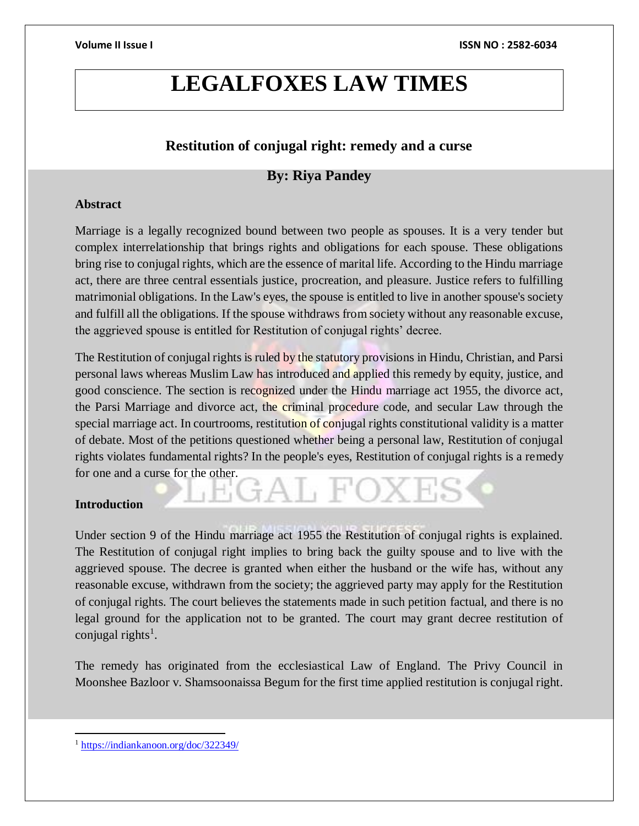# **LEGALFOXES LAW TIMES**

# **Restitution of conjugal right: remedy and a curse**

# **By: Riya Pandey**

### **Abstract**

Marriage is a legally recognized bound between two people as spouses. It is a very tender but complex interrelationship that brings rights and obligations for each spouse. These obligations bring rise to conjugal rights, which are the essence of marital life. According to the Hindu marriage act, there are three central essentials justice, procreation, and pleasure. Justice refers to fulfilling matrimonial obligations. In the Law's eyes, the spouse is entitled to live in another spouse's society and fulfill all the obligations. If the spouse withdraws from society without any reasonable excuse, the aggrieved spouse is entitled for Restitution of conjugal rights' decree.

The Restitution of conjugal rights is ruled by the statutory provisions in Hindu, Christian, and Parsi personal laws whereas Muslim Law has introduced and applied this remedy by equity, justice, and good conscience. The section is recognized under the Hindu marriage act 1955, the divorce act, the Parsi Marriage and divorce act, the criminal procedure code, and secular Law through the special marriage act. In courtrooms, restitution of conjugal rights constitutional validity is a matter of debate. Most of the petitions questioned whether being a personal law, Restitution of conjugal rights violates fundamental rights? In the people's eyes, Restitution of conjugal rights is a remedy for one and a curse for the other.

### **Introduction**

Under section 9 of the Hindu marriage act 1955 the Restitution of conjugal rights is explained. The Restitution of conjugal right implies to bring back the guilty spouse and to live with the aggrieved spouse. The decree is granted when either the husband or the wife has, without any reasonable excuse, withdrawn from the society; the aggrieved party may apply for the Restitution of conjugal rights. The court believes the statements made in such petition factual, and there is no legal ground for the application not to be granted. The court may grant decree restitution of conjugal rights<sup>1</sup>.

The remedy has originated from the ecclesiastical Law of England. The Privy Council in Moonshee Bazloor v. Shamsoonaissa Begum for the first time applied restitution is conjugal right.

 $\overline{a}$ <sup>1</sup> <https://indiankanoon.org/doc/322349/>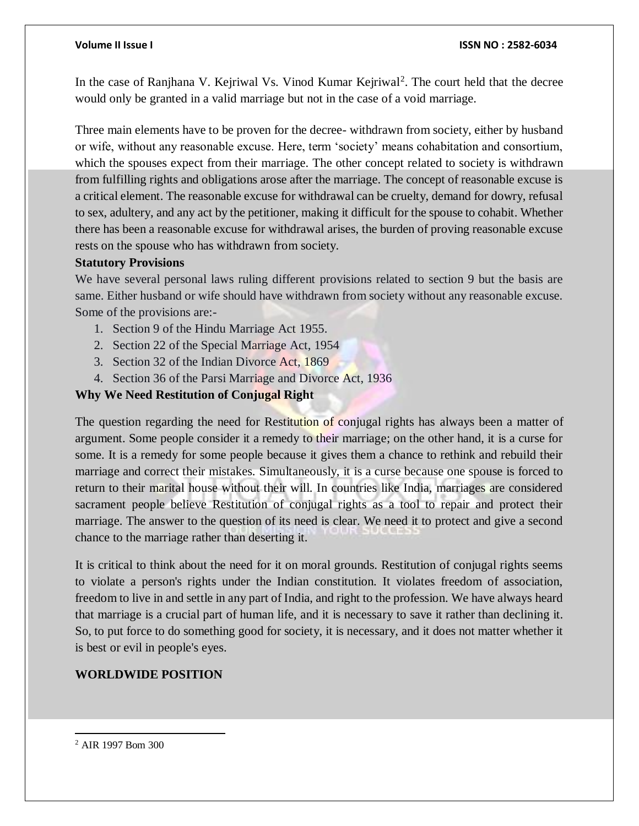In the case of Ranjhana V. Kejriwal Vs. Vinod Kumar Kejriwal<sup>2</sup>. The court held that the decree would only be granted in a valid marriage but not in the case of a void marriage.

Three main elements have to be proven for the decree- withdrawn from society, either by husband or wife, without any reasonable excuse. Here, term 'society' means cohabitation and consortium, which the spouses expect from their marriage. The other concept related to society is withdrawn from fulfilling rights and obligations arose after the marriage. The concept of reasonable excuse is a critical element. The reasonable excuse for withdrawal can be cruelty, demand for dowry, refusal to sex, adultery, and any act by the petitioner, making it difficult for the spouse to cohabit. Whether there has been a reasonable excuse for withdrawal arises, the burden of proving reasonable excuse rests on the spouse who has withdrawn from society.

### **Statutory Provisions**

We have several personal laws ruling different provisions related to section 9 but the basis are same. Either husband or wife should have withdrawn from society without any reasonable excuse. Some of the provisions are:-

- 1. Section 9 of the Hindu Marriage Act 1955.
- 2. Section 22 of the Special Marriage Act, 1954
- 3. Section 32 of the Indian Divorce Act, 1869
- 4. Section 36 of the Parsi Marriage and Divorce Act, 1936

### **Why We Need Restitution of Conjugal Right**

The question regarding the need for Restitution of conjugal rights has always been a matter of argument. Some people consider it a remedy to their marriage; on the other hand, it is a curse for some. It is a remedy for some people because it gives them a chance to rethink and rebuild their marriage and correct their mistakes. Simultaneously, it is a curse because one spouse is forced to return to their marital house without their will. In countries like India, marriages are considered sacrament people believe Restitution of conjugal rights as a tool to repair and protect their marriage. The answer to the question of its need is clear. We need it to protect and give a second chance to the marriage rather than deserting it.

It is critical to think about the need for it on moral grounds. Restitution of conjugal rights seems to violate a person's rights under the Indian constitution. It violates freedom of association, freedom to live in and settle in any part of India, and right to the profession. We have always heard that marriage is a crucial part of human life, and it is necessary to save it rather than declining it. So, to put force to do something good for society, it is necessary, and it does not matter whether it is best or evil in people's eyes.

### **WORLDWIDE POSITION**

 $\overline{a}$ 

<sup>2</sup> AIR 1997 Bom 300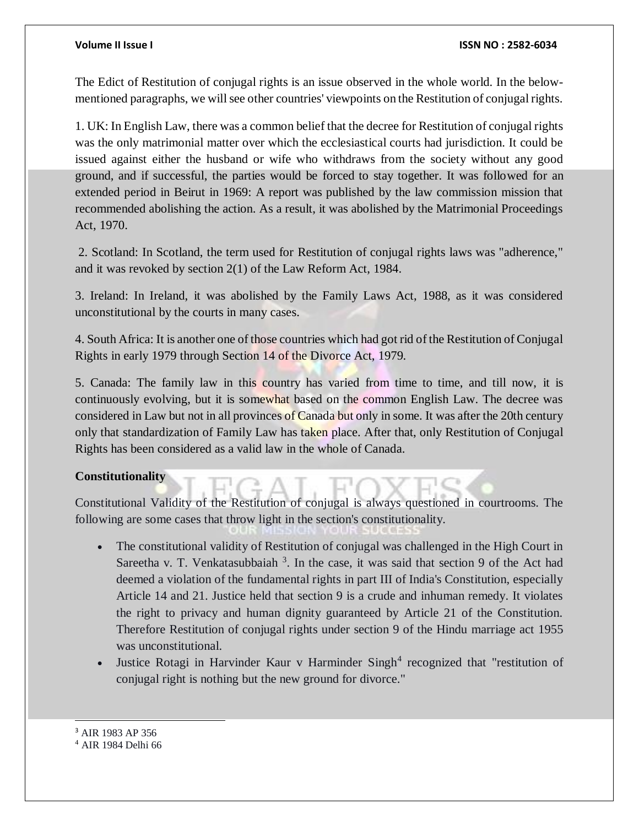#### **Volume II Issue I ISSN NO : 2582-6034**

The Edict of Restitution of conjugal rights is an issue observed in the whole world. In the belowmentioned paragraphs, we will see other countries' viewpoints on the Restitution of conjugal rights.

1. UK: In English Law, there was a common belief that the decree for Restitution of conjugal rights was the only matrimonial matter over which the ecclesiastical courts had jurisdiction. It could be issued against either the husband or wife who withdraws from the society without any good ground, and if successful, the parties would be forced to stay together. It was followed for an extended period in Beirut in 1969: A report was published by the law commission mission that recommended abolishing the action. As a result, it was abolished by the Matrimonial Proceedings Act, 1970.

2. Scotland: In Scotland, the term used for Restitution of conjugal rights laws was "adherence," and it was revoked by section 2(1) of the Law Reform Act, 1984.

3. Ireland: In Ireland, it was abolished by the Family Laws Act, 1988, as it was considered unconstitutional by the courts in many cases.

4. South Africa: It is another one of those countries which had got rid of the Restitution of Conjugal Rights in early 1979 through Section 14 of the Divorce Act, 1979.

5. Canada: The family law in this country has varied from time to time, and till now, it is continuously evolving, but it is somewhat based on the common English Law. The decree was considered in Law but not in all provinces of Canada but only in some. It was after the 20th century only that standardization of Family Law has taken place. After that, only Restitution of Conjugal Rights has been considered as a valid law in the whole of Canada.

### **Constitutionality**

Constitutional Validity of the Restitution of conjugal is always questioned in courtrooms. The following are some cases that throw light in the section's constitutionality.

- The constitutional validity of Restitution of conjugal was challenged in the High Court in Sareetha v. T. Venkatasubbaiah  $3$ . In the case, it was said that section 9 of the Act had deemed a violation of the fundamental rights in part III of India's Constitution, especially Article 14 and 21. Justice held that section 9 is a crude and inhuman remedy. It violates the right to privacy and human dignity guaranteed by Article 21 of the Constitution. Therefore Restitution of conjugal rights under section 9 of the Hindu marriage act 1955 was unconstitutional.
- Justice Rotagi in Harvinder Kaur v Harminder Singh<sup>4</sup> recognized that "restitution of conjugal right is nothing but the new ground for divorce."

<sup>3</sup> AIR 1983 AP 356

l

<sup>4</sup> AIR 1984 Delhi 66